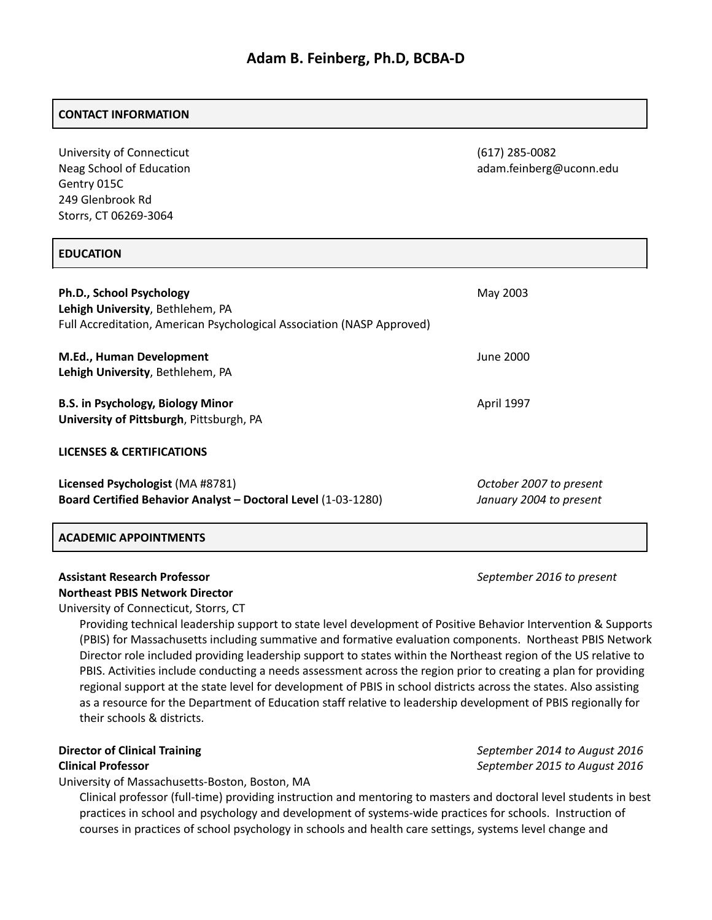## **CONTACT INFORMATION**

University of Connecticut (617) 285-0082 Gentry 015C 249 Glenbrook Rd Storrs, CT 06269-3064

## **EDUCATION**

**Ph.D., School Psychology** May 2003 **Lehigh University**, Bethlehem, PA Full Accreditation, American Psychological Association (NASP Approved) **M.Ed., Human Development** June 2000 **Lehigh University**, Bethlehem, PA **B.S. in Psychology, Biology Minor** April 1997 **University of Pittsburgh**, Pittsburgh, PA **LICENSES & CERTIFICATIONS Licensed Psychologist** (MA #8781) *October 2007 to present* **Board Certified Behavior Analyst – Doctoral Level** (1-03-1280) *January 2004 to present*

## **ACADEMIC APPOINTMENTS**

# **Assistant Research Professor** *September 2016 to present* **Northeast PBIS Network Director**

University of Connecticut, Storrs, CT

Providing technical leadership support to state level development of Positive Behavior Intervention & Supports (PBIS) for Massachusetts including summative and formative evaluation components. Northeast PBIS Network Director role included providing leadership support to states within the Northeast region of the US relative to PBIS. Activities include conducting a needs assessment across the region prior to creating a plan for providing regional support at the state level for development of PBIS in school districts across the states. Also assisting as a resource for the Department of Education staff relative to leadership development of PBIS regionally for their schools & districts.

**Director of Clinical Training** *September 2014 to August 2016*

## **Clinical Professor** *September 2015 to August 2016*

University of Massachusetts-Boston, Boston, MA

Clinical professor (full-time) providing instruction and mentoring to masters and doctoral level students in best practices in school and psychology and development of systems-wide practices for schools. Instruction of courses in practices of school psychology in schools and health care settings, systems level change and

Neag School of Education and adam.feinberg@uconn.edu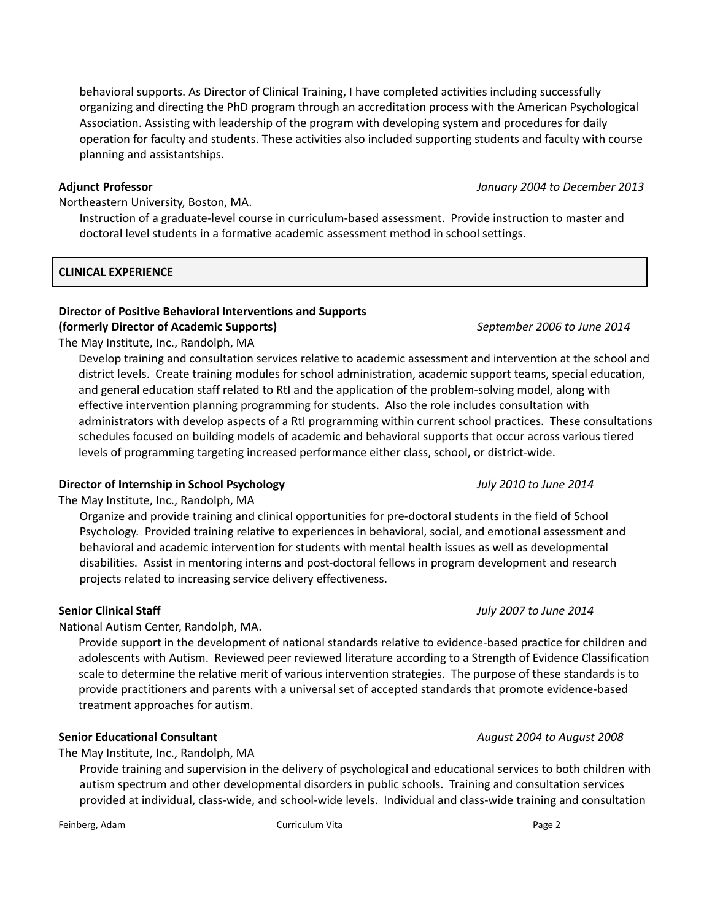behavioral supports. As Director of Clinical Training, I have completed activities including successfully organizing and directing the PhD program through an accreditation process with the American Psychological Association. Assisting with leadership of the program with developing system and procedures for daily operation for faculty and students. These activities also included supporting students and faculty with course planning and assistantships.

Northeastern University, Boston, MA.

Instruction of a graduate-level course in curriculum-based assessment. Provide instruction to master and doctoral level students in a formative academic assessment method in school settings.

## **CLINICAL EXPERIENCE**

## **Director of Positive Behavioral Interventions and Supports**

## **(formerly Director of Academic Supports)** *September 2006 to June 2014*

The May Institute, Inc., Randolph, MA

Develop training and consultation services relative to academic assessment and intervention at the school and district levels. Create training modules for school administration, academic support teams, special education, and general education staff related to RtI and the application of the problem-solving model, along with effective intervention planning programming for students. Also the role includes consultation with administrators with develop aspects of a RtI programming within current school practices. These consultations schedules focused on building models of academic and behavioral supports that occur across various tiered levels of programming targeting increased performance either class, school, or district-wide.

## **Director of Internship in School Psychology** *July 2010 to June 2014*

The May Institute, Inc., Randolph, MA

Organize and provide training and clinical opportunities for pre-doctoral students in the field of School Psychology. Provided training relative to experiences in behavioral, social, and emotional assessment and behavioral and academic intervention for students with mental health issues as well as developmental disabilities. Assist in mentoring interns and post-doctoral fellows in program development and research projects related to increasing service delivery effectiveness.

#### **Senior Clinical Staff** *July 2007 to June 2014*

National Autism Center, Randolph, MA.

Provide support in the development of national standards relative to evidence-based practice for children and adolescents with Autism. Reviewed peer reviewed literature according to a Strength of Evidence Classification scale to determine the relative merit of various intervention strategies. The purpose of these standards is to provide practitioners and parents with a universal set of accepted standards that promote evidence-based treatment approaches for autism.

## **Senior Educational Consultant** *August 2004 to August 2008*

The May Institute, Inc., Randolph, MA

Provide training and supervision in the delivery of psychological and educational services to both children with autism spectrum and other developmental disorders in public schools. Training and consultation services provided at individual, class-wide, and school-wide levels. Individual and class-wide training and consultation

## **Adjunct Professor** *January 2004 to December 2013*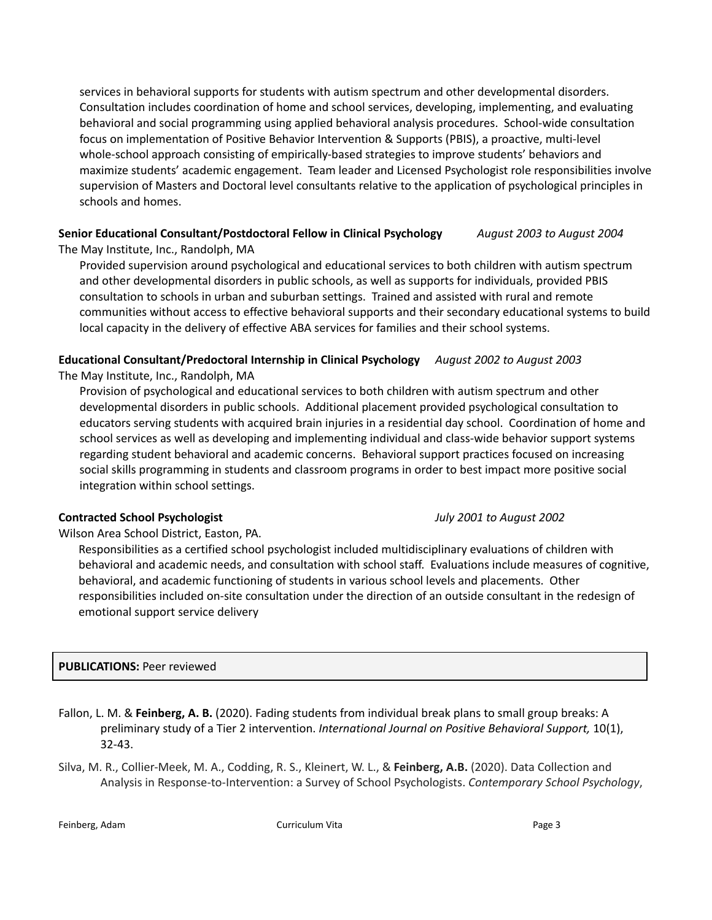services in behavioral supports for students with autism spectrum and other developmental disorders. Consultation includes coordination of home and school services, developing, implementing, and evaluating behavioral and social programming using applied behavioral analysis procedures. School-wide consultation focus on implementation of Positive Behavior Intervention & Supports (PBIS), a proactive, multi-level whole-school approach consisting of empirically-based strategies to improve students' behaviors and maximize students' academic engagement. Team leader and Licensed Psychologist role responsibilities involve supervision of Masters and Doctoral level consultants relative to the application of psychological principles in schools and homes.

## **Senior Educational Consultant/Postdoctoral Fellow in Clinical Psychology** *August 2003 to August 2004*

The May Institute, Inc., Randolph, MA

Provided supervision around psychological and educational services to both children with autism spectrum and other developmental disorders in public schools, as well as supports for individuals, provided PBIS consultation to schools in urban and suburban settings. Trained and assisted with rural and remote communities without access to effective behavioral supports and their secondary educational systems to build local capacity in the delivery of effective ABA services for families and their school systems.

## **Educational Consultant/Predoctoral Internship in Clinical Psychology** *August 2002 to August 2003*

The May Institute, Inc., Randolph, MA

Provision of psychological and educational services to both children with autism spectrum and other developmental disorders in public schools. Additional placement provided psychological consultation to educators serving students with acquired brain injuries in a residential day school. Coordination of home and school services as well as developing and implementing individual and class-wide behavior support systems regarding student behavioral and academic concerns. Behavioral support practices focused on increasing social skills programming in students and classroom programs in order to best impact more positive social integration within school settings.

## **Contracted School Psychologist** *July 2001 to August 2002*

Wilson Area School District, Easton, PA.

Responsibilities as a certified school psychologist included multidisciplinary evaluations of children with behavioral and academic needs, and consultation with school staff. Evaluations include measures of cognitive, behavioral, and academic functioning of students in various school levels and placements. Other responsibilities included on-site consultation under the direction of an outside consultant in the redesign of emotional support service delivery

# **PUBLICATIONS:** Peer reviewed

- Fallon, L. M. & **Feinberg, A. B.** (2020). Fading students from individual break plans to small group breaks: A preliminary study of a Tier 2 intervention. *International Journal on Positive Behavioral Support,* 10(1), 32-43.
- Silva, M. R., Collier-Meek, M. A., Codding, R. S., Kleinert, W. L., & **Feinberg, A.B.** (2020). Data Collection and Analysis in Response-to-Intervention: a Survey of School Psychologists. *Contemporary School Psychology*,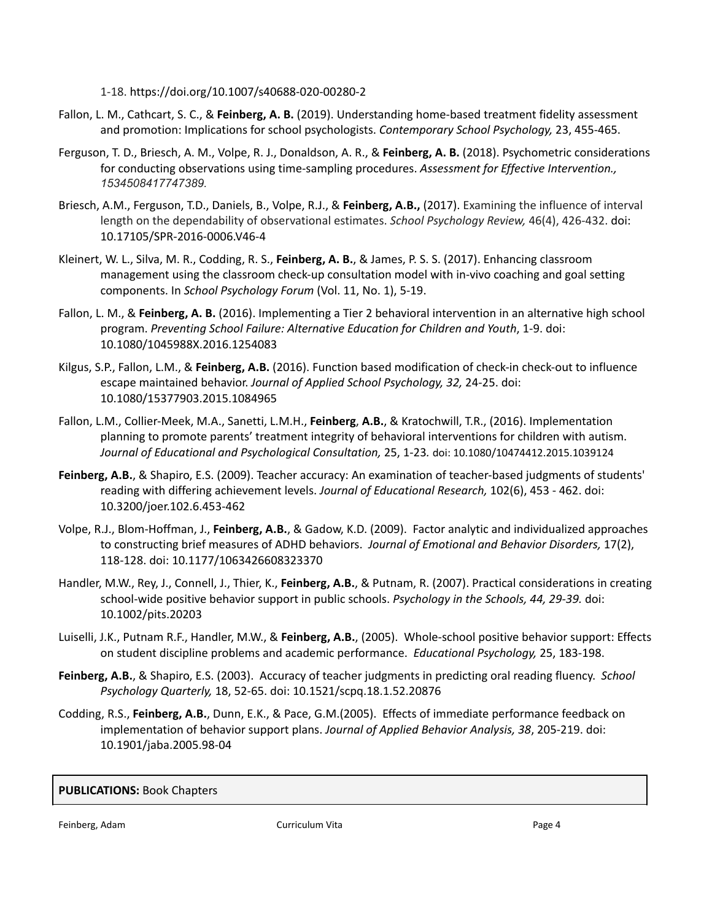1-18. https://doi.org/10.1007/s40688-020-00280-2

- Fallon, L. M., Cathcart, S. C., & **Feinberg, A. B.** (2019). Understanding home-based treatment fidelity assessment and promotion: Implications for school psychologists. *Contemporary School Psychology,* 23, 455-465.
- Ferguson, T. D., Briesch, A. M., Volpe, R. J., Donaldson, A. R., & **Feinberg, A. B.** (2018). Psychometric considerations for conducting observations using time-sampling procedures. *Assessment for Effective Intervention., 1534508417747389.*
- Briesch, A.M., Ferguson, T.D., Daniels, B., Volpe, R.J., & **Feinberg, A.B.,** (2017). Examining the influence of interval length on the dependability of observational estimates. *School Psychology Review,* 46(4), 426-432. doi: 10.17105/SPR-2016-0006.V46-4
- Kleinert, W. L., Silva, M. R., Codding, R. S., **Feinberg, A. B.**, & James, P. S. S. (2017). Enhancing classroom management using the classroom check-up consultation model with in-vivo coaching and goal setting components. In *School Psychology Forum* (Vol. 11, No. 1), 5-19.
- Fallon, L. M., & **Feinberg, A. B.** (2016). Implementing a Tier 2 behavioral intervention in an alternative high school program. *Preventing School Failure: Alternative Education for Children and Youth*, 1-9. doi: [10.1080/1045988X.2016.1254083](http://dx.doi.org/10.1080/1045988X.2016.1254083)
- Kilgus, S.P., Fallon, L.M., & **Feinberg, A.B.** (2016). Function based modification of check-in check-out to influence escape maintained behavior. *Journal of Applied School Psychology, 32,* 24-25. doi: 10.1080/15377903.2015.1084965
- Fallon, L.M., Collier-Meek, M.A., Sanetti, L.M.H., **Feinberg**, **A.B.**, & Kratochwill, T.R., (2016). Implementation planning to promote parents' treatment integrity of behavioral interventions for children with autism. *Journal of Educational and Psychological Consultation,* 25, 1-23*.* doi: 10.1080/10474412.2015.1039124
- **Feinberg, A.B.**, & Shapiro, E.S. (2009). Teacher accuracy: An examination of teacher-based judgments of students' reading with differing achievement levels. *Journal of Educational Research,* 102(6), 453 - 462. doi: 10.3200/joer.102.6.453-462
- Volpe, R.J., Blom-Hoffman, J., **Feinberg, A.B.**, & Gadow, K.D. (2009). Factor analytic and individualized approaches to constructing brief measures of ADHD behaviors. *Journal of Emotional and Behavior Disorders,* 17(2), 118-128. doi: 10.1177/1063426608323370
- Handler, M.W., Rey, J., Connell, J., Thier, K., **Feinberg, A.B.**, & Putnam, R. (2007). Practical considerations in creating school-wide positive behavior support in public schools. *Psychology in the Schools, 44, 29-39.* doi: 10.1002/pits.20203
- Luiselli, J.K., Putnam R.F., Handler, M.W., & **Feinberg, A.B.**, (2005). Whole-school positive behavior support: Effects on student discipline problems and academic performance. *Educational Psychology,* 25, 183-198.
- **Feinberg, A.B.**, & Shapiro, E.S. (2003). Accuracy of teacher judgments in predicting oral reading fluency. *School Psychology Quarterly,* 18, 52-65. doi: 10.1521/scpq.18.1.52.20876
- Codding, R.S., **Feinberg, A.B.**, Dunn, E.K., & Pace, G.M.(2005). Effects of immediate performance feedback on implementation of behavior support plans. *Journal of Applied Behavior Analysis, 38*, 205-219. doi: 10.1901/jaba.2005.98-04

## **PUBLICATIONS:** Book Chapters

Feinberg, Adam Curriculum Vita Page 4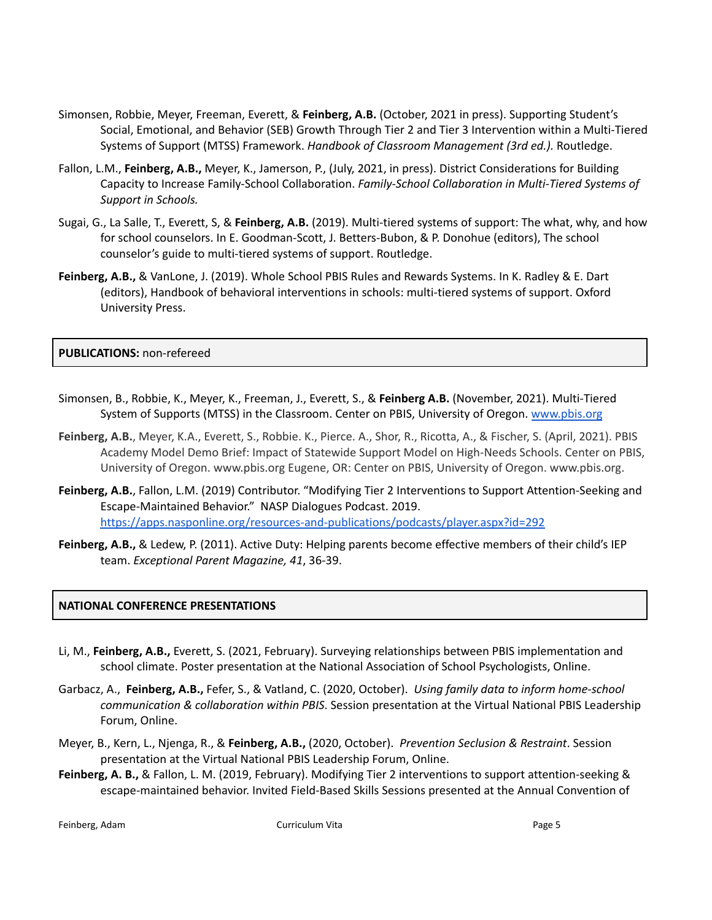- Simonsen, Robbie, Meyer, Freeman, Everett, & **Feinberg, A.B.** (October, 2021 in press). Supporting Student's Social, Emotional, and Behavior (SEB) Growth Through Tier 2 and Tier 3 Intervention within a Multi-Tiered Systems of Support (MTSS) Framework. *Handbook of Classroom Management (3rd ed.).* Routledge.
- Fallon, L.M., **Feinberg, A.B.,** Meyer, K., Jamerson, P., (July, 2021, in press). District Considerations for Building Capacity to Increase Family-School Collaboration. *Family-School Collaboration in Multi-Tiered Systems of Support in Schools.*
- Sugai, G., La Salle, T., Everett, S, & **Feinberg, A.B.** (2019). Multi-tiered systems of support: The what, why, and how for school counselors. In E. Goodman-Scott, J. Betters-Bubon, & P. Donohue (editors), The school counselor's guide to multi-tiered systems of support. Routledge.
- **Feinberg, A.B.,** & VanLone, J. (2019). Whole School PBIS Rules and Rewards Systems. In K. Radley & E. Dart (editors), Handbook of behavioral interventions in schools: multi-tiered systems of support. Oxford University Press.

#### **PUBLICATIONS:** non-refereed

- Simonsen, B., Robbie, K., Meyer, K., Freeman, J., Everett, S., & **Feinberg A.B.** (November, 2021). Multi-Tiered System of Supports (MTSS) in the Classroom. Center on PBIS, University of Oregon. [www.pbis.org](http://www.pbis.org)
- **Feinberg, A.B.**, Meyer, K.A., Everett, S., Robbie. K., Pierce. A., Shor, R., Ricotta, A., & Fischer, S. (April, 2021). PBIS Academy Model Demo Brief: Impact of Statewide Support Model on High-Needs Schools. Center on PBIS, University of Oregon. www.pbis.org Eugene, OR: Center on PBIS, University of Oregon. www.pbis.org.
- **Feinberg, A.B.**, Fallon, L.M. (2019) Contributor. "Modifying Tier 2 Interventions to Support Attention-Seeking and Escape-Maintained Behavior." NASP Dialogues Podcast. 2019. <https://apps.nasponline.org/resources-and-publications/podcasts/player.aspx?id=292>
- **Feinberg, A.B.,** & Ledew, P. (2011). Active Duty: Helping parents become effective members of their child's IEP team. *Exceptional Parent Magazine, 41*, 36-39.

## **NATIONAL CONFERENCE PRESENTATIONS**

- Li, M., **Feinberg, A.B.,** Everett, S. (2021, February). Surveying relationships between PBIS implementation and school climate. Poster presentation at the National Association of School Psychologists, Online.
- Garbacz, A., **Feinberg, A.B.,** Fefer, S., & Vatland, C. (2020, October). *Using family data to inform home-school communication & collaboration within PBIS*. Session presentation at the Virtual National PBIS Leadership Forum, Online.
- Meyer, B., Kern, L., Njenga, R., & **Feinberg, A.B.,** (2020, October). *Prevention Seclusion & Restraint*. Session presentation at the Virtual National PBIS Leadership Forum, Online.
- **Feinberg, A. B.,** & Fallon, L. M. (2019, February). Modifying Tier 2 interventions to support attention-seeking & escape-maintained behavior. Invited Field-Based Skills Sessions presented at the Annual Convention of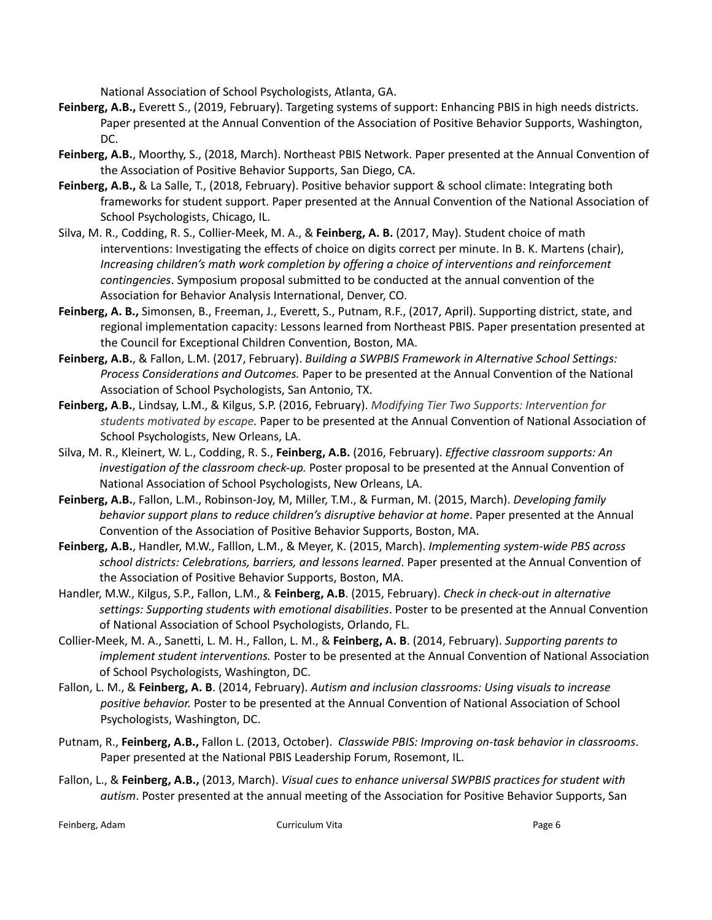National Association of School Psychologists, Atlanta, GA.

- **Feinberg, A.B.,** Everett S., (2019, February). Targeting systems of support: Enhancing PBIS in high needs districts. Paper presented at the Annual Convention of the Association of Positive Behavior Supports, Washington, DC.
- **Feinberg, A.B.**, Moorthy, S., (2018, March). Northeast PBIS Network. Paper presented at the Annual Convention of the Association of Positive Behavior Supports, San Diego, CA.
- **Feinberg, A.B.,** & La Salle, T., (2018, February). Positive behavior support & school climate: Integrating both frameworks for student support. Paper presented at the Annual Convention of the National Association of School Psychologists, Chicago, IL.
- Silva, M. R., Codding, R. S., Collier-Meek, M. A., & **Feinberg, A. B.** (2017, May). Student choice of math interventions: Investigating the effects of choice on digits correct per minute. In B. K. Martens (chair), *Increasing children's math work completion by offering a choice of interventions and reinforcement contingencies*. Symposium proposal submitted to be conducted at the annual convention of the Association for Behavior Analysis International, Denver, CO.
- **Feinberg, A. B.,** Simonsen, B., Freeman, J., Everett, S., Putnam, R.F., (2017, April). Supporting district, state, and regional implementation capacity: Lessons learned from Northeast PBIS. Paper presentation presented at the Council for Exceptional Children Convention, Boston, MA.
- **Feinberg, A.B.**, & Fallon, L.M. (2017, February). *Building a SWPBIS Framework in Alternative School Settings: Process Considerations and Outcomes.* Paper to be presented at the Annual Convention of the National Association of School Psychologists, San Antonio, TX.
- **Feinberg, A**.**B.**, Lindsay, L.M., & Kilgus, S.P. (2016, February). *Modifying Tier Two Supports: Intervention for students motivated by escape.* Paper to be presented at the Annual Convention of National Association of School Psychologists, New Orleans, LA.
- Silva, M. R., Kleinert, W. L., Codding, R. S., **Feinberg, A.B.** (2016, February). *Effective classroom supports: An investigation of the classroom check-up.* Poster proposal to be presented at the Annual Convention of National Association of School Psychologists, New Orleans, LA.
- **Feinberg, A.B.**, Fallon, L.M., Robinson-Joy, M, Miller, T.M., & Furman, M. (2015, March). *Developing family behavior support plans to reduce children's disruptive behavior at home*. Paper presented at the Annual Convention of the Association of Positive Behavior Supports, Boston, MA.
- **Feinberg, A.B.**, Handler, M.W., Falllon, L.M., & Meyer, K. (2015, March). *Implementing system-wide PBS across school districts: Celebrations, barriers, and lessons learned*. Paper presented at the Annual Convention of the Association of Positive Behavior Supports, Boston, MA.
- Handler, M.W., Kilgus, S.P., Fallon, L.M., & **Feinberg, A.B**. (2015, February). *Check in check-out in alternative settings: Supporting students with emotional disabilities*. Poster to be presented at the Annual Convention of National Association of School Psychologists, Orlando, FL.
- Collier-Meek, M. A., Sanetti, L. M. H., Fallon, L. M., & **Feinberg, A. B**. (2014, February). *Supporting parents to implement student interventions.* Poster to be presented at the Annual Convention of National Association of School Psychologists, Washington, DC.
- Fallon, L. M., & **Feinberg, A. B**. (2014, February). *Autism and inclusion classrooms: Using visuals to increase positive behavior.* Poster to be presented at the Annual Convention of National Association of School Psychologists, Washington, DC.
- Putnam, R., **Feinberg, A.B.,** Fallon L. (2013, October). *Classwide PBIS: Improving on-task behavior in classrooms*. Paper presented at the National PBIS Leadership Forum, Rosemont, IL.
- Fallon, L., & **Feinberg, A.B.,** (2013, March). *Visual cues to enhance universal SWPBIS practices for student with autism*. Poster presented at the annual meeting of the Association for Positive Behavior Supports, San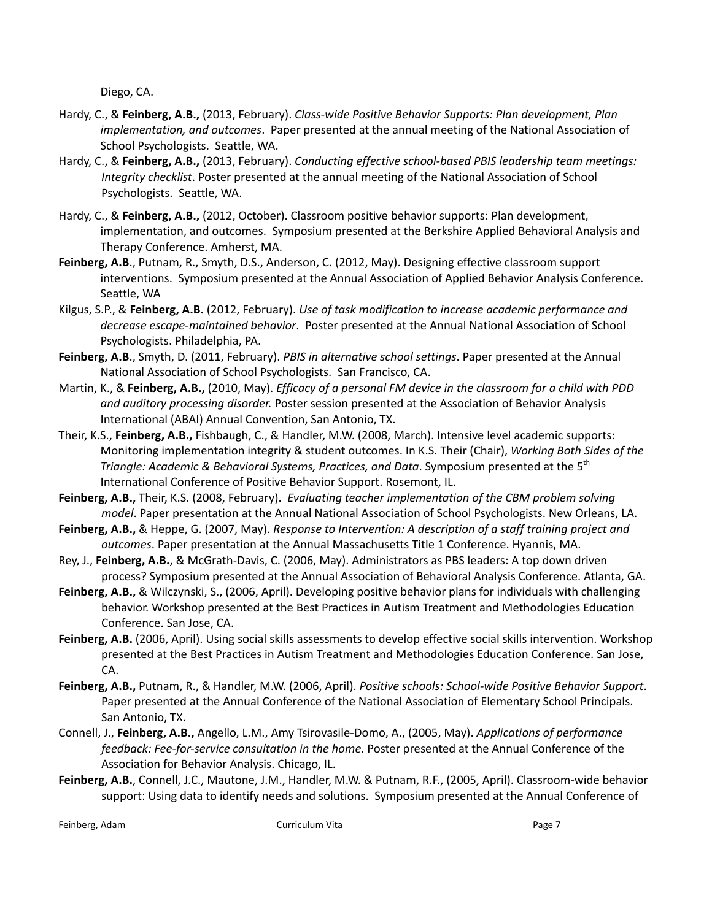Diego, CA.

- Hardy, C., & **Feinberg, A.B.,** (2013, February). *Class-wide Positive Behavior Supports: Plan development, Plan implementation, and outcomes*. Paper presented at the annual meeting of the National Association of School Psychologists. Seattle, WA.
- Hardy, C., & **Feinberg, A.B.,** (2013, February). *Conducting effective school-based PBIS leadership team meetings: Integrity checklist*. Poster presented at the annual meeting of the National Association of School Psychologists. Seattle, WA.
- Hardy, C., & **Feinberg, A.B.,** (2012, October). Classroom positive behavior supports: Plan development, implementation, and outcomes. Symposium presented at the Berkshire Applied Behavioral Analysis and Therapy Conference. Amherst, MA.
- **Feinberg, A.B**., Putnam, R., Smyth, D.S., Anderson, C. (2012, May). Designing effective classroom support interventions. Symposium presented at the Annual Association of Applied Behavior Analysis Conference. Seattle, WA
- Kilgus, S.P., & **Feinberg, A.B.** (2012, February). *Use of task modification to increase academic performance and decrease escape-maintained behavior*. Poster presented at the Annual National Association of School Psychologists. Philadelphia, PA.
- **Feinberg, A.B**., Smyth, D. (2011, February). *PBIS in alternative school settings*. Paper presented at the Annual National Association of School Psychologists. San Francisco, CA.
- Martin, K., & Feinberg, A.B., (2010, May). Efficacy of a personal FM device in the classroom for a child with PDD *and auditory processing disorder.* Poster session presented at the Association of Behavior Analysis International (ABAI) Annual Convention, San Antonio, TX.
- Their, K.S., **Feinberg, A.B.,** Fishbaugh, C., & Handler, M.W. (2008, March). Intensive level academic supports: Monitoring implementation integrity & student outcomes. In K.S. Their (Chair), *Working Both Sides of the Triangle: Academic & Behavioral Systems, Practices, and Data*. Symposium presented at the 5 th International Conference of Positive Behavior Support. Rosemont, IL.
- **Feinberg, A.B.,** Their, K.S. (2008, February). *Evaluating teacher implementation of the CBM problem solving model*. Paper presentation at the Annual National Association of School Psychologists. New Orleans, LA.
- **Feinberg, A.B.,** & Heppe, G. (2007, May). *Response to Intervention: A description of a staff training project and outcomes*. Paper presentation at the Annual Massachusetts Title 1 Conference. Hyannis, MA.
- Rey, J., **Feinberg, A.B.**, & McGrath-Davis, C. (2006, May). Administrators as PBS leaders: A top down driven process? Symposium presented at the Annual Association of Behavioral Analysis Conference. Atlanta, GA.
- **Feinberg, A.B.,** & Wilczynski, S., (2006, April). Developing positive behavior plans for individuals with challenging behavior. Workshop presented at the Best Practices in Autism Treatment and Methodologies Education Conference. San Jose, CA.
- **Feinberg, A.B.** (2006, April). Using social skills assessments to develop effective social skills intervention. Workshop presented at the Best Practices in Autism Treatment and Methodologies Education Conference. San Jose, CA.
- **Feinberg, A.B.,** Putnam, R., & Handler, M.W. (2006, April). *Positive schools: School-wide Positive Behavior Support*. Paper presented at the Annual Conference of the National Association of Elementary School Principals. San Antonio, TX.
- Connell, J., **Feinberg, A.B.,** Angello, L.M., Amy Tsirovasile-Domo, A., (2005, May). *Applications of performance feedback: Fee-for-service consultation in the home*. Poster presented at the Annual Conference of the Association for Behavior Analysis. Chicago, IL.
- **Feinberg, A.B.**, Connell, J.C., Mautone, J.M., Handler, M.W. & Putnam, R.F., (2005, April). Classroom-wide behavior support: Using data to identify needs and solutions. Symposium presented at the Annual Conference of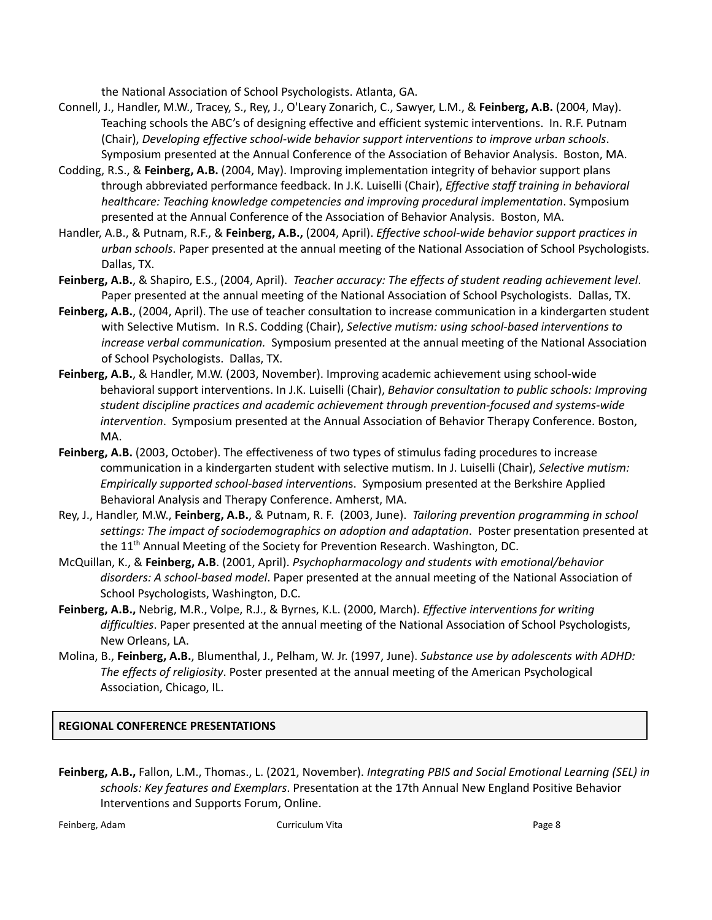the National Association of School Psychologists. Atlanta, GA.

- Connell, J., Handler, M.W., Tracey, S., Rey, J., O'Leary Zonarich, C., Sawyer, L.M., & **Feinberg, A.B.** (2004, May). Teaching schools the ABC's of designing effective and efficient systemic interventions. In. R.F. Putnam (Chair), *Developing effective school-wide behavior support interventions to improve urban schools*. Symposium presented at the Annual Conference of the Association of Behavior Analysis. Boston, MA.
- Codding, R.S., & **Feinberg, A.B.** (2004, May). Improving implementation integrity of behavior support plans through abbreviated performance feedback. In J.K. Luiselli (Chair), *Effective staff training in behavioral healthcare: Teaching knowledge competencies and improving procedural implementation*. Symposium presented at the Annual Conference of the Association of Behavior Analysis. Boston, MA.
- Handler, A.B., & Putnam, R.F., & **Feinberg, A.B.,** (2004, April). *Effective school-wide behavior support practices in urban schools*. Paper presented at the annual meeting of the National Association of School Psychologists. Dallas, TX.
- **Feinberg, A.B.**, & Shapiro, E.S., (2004, April). *Teacher accuracy: The effects of student reading achievement level*. Paper presented at the annual meeting of the National Association of School Psychologists. Dallas, TX.
- **Feinberg, A.B.**, (2004, April). The use of teacher consultation to increase communication in a kindergarten student with Selective Mutism. In R.S. Codding (Chair), *Selective mutism: using school-based interventions to increase verbal communication.* Symposium presented at the annual meeting of the National Association of School Psychologists. Dallas, TX.
- **Feinberg, A.B.**, & Handler, M.W. (2003, November). Improving academic achievement using school-wide behavioral support interventions. In J.K. Luiselli (Chair), *Behavior consultation to public schools: Improving student discipline practices and academic achievement through prevention-focused and systems-wide intervention*. Symposium presented at the Annual Association of Behavior Therapy Conference. Boston, MA.
- **Feinberg, A.B.** (2003, October). The effectiveness of two types of stimulus fading procedures to increase communication in a kindergarten student with selective mutism. In J. Luiselli (Chair), *Selective mutism: Empirically supported school-based intervention*s. Symposium presented at the Berkshire Applied Behavioral Analysis and Therapy Conference. Amherst, MA.
- Rey, J., Handler, M.W., **Feinberg, A.B.**, & Putnam, R. F. (2003, June). *Tailoring prevention programming in school settings: The impact of sociodemographics on adoption and adaptation*. Poster presentation presented at the 11<sup>th</sup> Annual Meeting of the Society for Prevention Research. Washington, DC.
- McQuillan, K., & **Feinberg, A.B**. (2001, April). *Psychopharmacology and students with emotional/behavior disorders: A school-based model*. Paper presented at the annual meeting of the National Association of School Psychologists, Washington, D.C.
- **Feinberg, A.B.,** Nebrig, M.R., Volpe, R.J., & Byrnes, K.L. (2000, March). *Effective [interventions](http://www.lehigh.edu/~adf3/NASP2000.html) for writing difficulties*. Paper presented at the annual meeting of the National Association of School [Psychologists,](http://www.lehigh.edu/~adf3/NASP2000.html) New [Orleans,](http://www.lehigh.edu/~adf3/NASP2000.html) LA.
- Molina, B., **Feinberg, A.B.**, Blumenthal, J., Pelham, W. Jr. (1997, June). *Substance use by adolescents with ADHD: The effects of religiosity*. Poster presented at the annual meeting of the American Psychological Association, Chicago, IL.

## **REGIONAL CONFERENCE PRESENTATIONS**

**Feinberg, A.B.,** Fallon, L.M., Thomas., L. (2021, November). *Integrating PBIS and Social Emotional Learning (SEL) in schools: Key features and Exemplars*. Presentation at the 17th Annual New England Positive Behavior Interventions and Supports Forum, Online.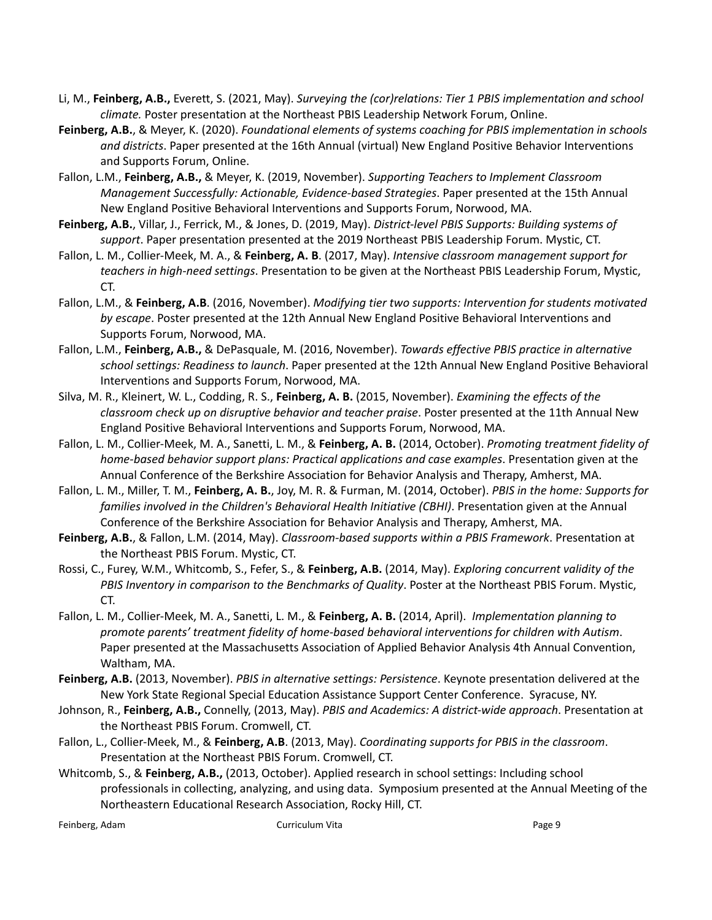- Li, M., **Feinberg, A.B.,** Everett, S. (2021, May). *Surveying the (cor)relations: Tier 1 PBIS implementation and school climate.* Poster presentation at the Northeast PBIS Leadership Network Forum, Online.
- **Feinberg, A.B.**, & Meyer, K. (2020). *Foundational elements of systems coaching for PBIS implementation in schools and districts*. Paper presented at the 16th Annual (virtual) New England Positive Behavior Interventions and Supports Forum, Online.
- Fallon, L.M., **Feinberg, A.B.,** & Meyer, K. (2019, November). *Supporting Teachers to Implement Classroom Management Successfully: Actionable, Evidence-based Strategies*. Paper presented at the 15th Annual New England Positive Behavioral Interventions and Supports Forum, Norwood, MA.
- **Feinberg, A.B.**, Villar, J., Ferrick, M., & Jones, D. (2019, May). *District-level PBIS Supports: Building systems of support*. Paper presentation presented at the 2019 Northeast PBIS Leadership Forum. Mystic, CT.
- Fallon, L. M., Collier-Meek, M. A., & **Feinberg, A. B**. (2017, May). *Intensive classroom management support for teachers in high-need settings*. Presentation to be given at the Northeast PBIS Leadership Forum, Mystic, CT.
- Fallon, L.M., & **Feinberg, A.B**. (2016, November). *Modifying tier two supports: Intervention for students motivated by escape*. Poster presented at the 12th Annual New England Positive Behavioral Interventions and Supports Forum, Norwood, MA.
- Fallon, L.M., **Feinberg, A.B.,** & DePasquale, M. (2016, November). *Towards effective PBIS practice in alternative school settings: Readiness to launch*. Paper presented at the 12th Annual New England Positive Behavioral Interventions and Supports Forum, Norwood, MA.
- Silva, M. R., Kleinert, W. L., Codding, R. S., **Feinberg, A. B.** (2015, November). *Examining the effects of the classroom check up on disruptive behavior and teacher praise*. Poster presented at the 11th Annual New England Positive Behavioral Interventions and Supports Forum, Norwood, MA.
- Fallon, L. M., Collier-Meek, M. A., Sanetti, L. M., & **Feinberg, A. B.** (2014, October). *Promoting treatment fidelity of home-based behavior support plans: Practical applications and case examples*. Presentation given at the Annual Conference of the Berkshire Association for Behavior Analysis and Therapy, Amherst, MA.
- Fallon, L. M., Miller, T. M., **Feinberg, A. B.**, Joy, M. R. & Furman, M. (2014, October). *PBIS in the home: Supports for families involved in the Children's Behavioral Health Initiative (CBHI)*. Presentation given at the Annual Conference of the Berkshire Association for Behavior Analysis and Therapy, Amherst, MA.
- **Feinberg, A.B.**, & Fallon, L.M. (2014, May). *Classroom-based supports within a PBIS Framework*. Presentation at the Northeast PBIS Forum. Mystic, CT.
- Rossi, C., Furey, W.M., Whitcomb, S., Fefer, S., & **Feinberg, A.B.** (2014, May). *Exploring concurrent validity of the PBIS Inventory in comparison to the Benchmarks of Quality*. Poster at the Northeast PBIS Forum. Mystic, CT.
- Fallon, L. M., Collier-Meek, M. A., Sanetti, L. M., & **Feinberg, A. B.** (2014, April). *Implementation planning to promote parents' treatment fidelity of home-based behavioral interventions for children with Autism*. Paper presented at the Massachusetts Association of Applied Behavior Analysis 4th Annual Convention, Waltham, MA.
- **Feinberg, A.B.** (2013, November). *PBIS in alternative settings: Persistence*. Keynote presentation delivered at the New York State Regional Special Education Assistance Support Center Conference. Syracuse, NY.
- Johnson, R., **Feinberg, A.B.,** Connelly, (2013, May). *PBIS and Academics: A district-wide approach*. Presentation at the Northeast PBIS Forum. Cromwell, CT.
- Fallon, L., Collier-Meek, M., & **Feinberg, A.B**. (2013, May). *Coordinating supports for PBIS in the classroom*. Presentation at the Northeast PBIS Forum. Cromwell, CT.
- Whitcomb, S., & **Feinberg, A.B.,** (2013, October). Applied research in school settings: Including school professionals in collecting, analyzing, and using data. Symposium presented at the Annual Meeting of the Northeastern Educational Research Association, Rocky Hill, CT.

Feinberg, Adam Curriculum Vita Page 9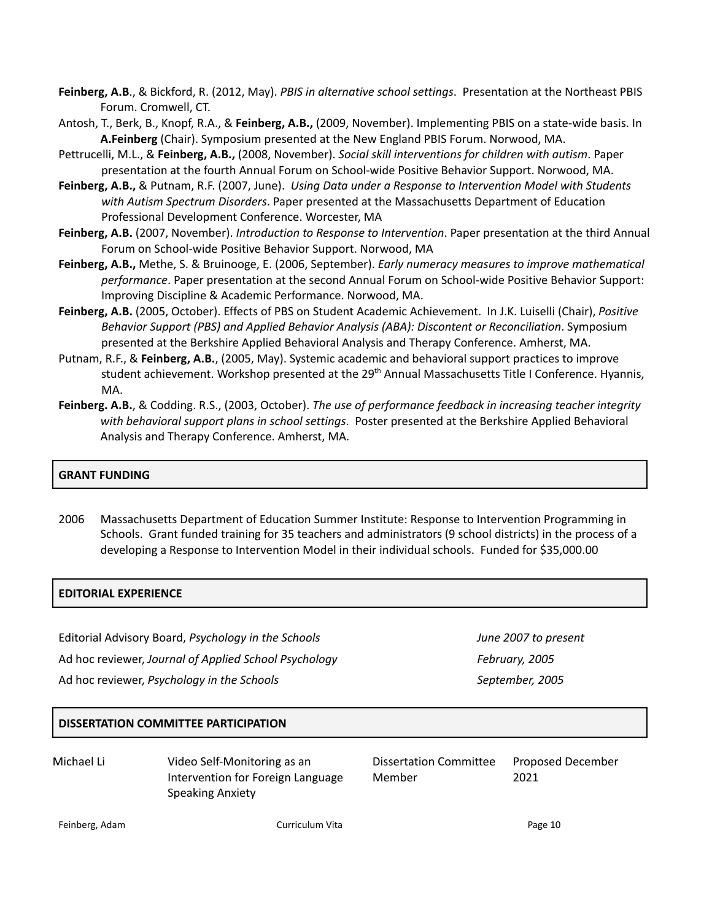- **Feinberg, A.B**., & Bickford, R. (2012, May). *PBIS in alternative school settings*. Presentation at the Northeast PBIS Forum. Cromwell, CT.
- Antosh, T., Berk, B., Knopf, R.A., & **Feinberg, A.B.,** (2009, November). Implementing PBIS on a state-wide basis. In **A.Feinberg** (Chair). Symposium presented at the New England PBIS Forum. Norwood, MA.
- Pettrucelli, M.L., & **Feinberg, A.B.,** (2008, November). *Social skill interventions for children with autism*. Paper presentation at the fourth Annual Forum on School-wide Positive Behavior Support. Norwood, MA.
- **Feinberg, A.B.,** & Putnam, R.F. (2007, June). *Using Data under a Response to Intervention Model with Students with Autism Spectrum Disorders*. Paper presented at the Massachusetts Department of Education Professional Development Conference. Worcester, MA
- **Feinberg, A.B.** (2007, November). *Introduction to Response to Intervention*. Paper presentation at the third Annual Forum on School-wide Positive Behavior Support. Norwood, MA
- **Feinberg, A.B.,** Methe, S. & Bruinooge, E. (2006, September). *Early numeracy measures to improve mathematical performance*. Paper presentation at the second Annual Forum on School-wide Positive Behavior Support: Improving Discipline & Academic Performance. Norwood, MA.
- **Feinberg, A.B.** (2005, October). Effects of PBS on Student Academic Achievement. In J.K. Luiselli (Chair), *Positive Behavior Support (PBS) and Applied Behavior Analysis (ABA): Discontent or Reconciliation*. Symposium presented at the Berkshire Applied Behavioral Analysis and Therapy Conference. Amherst, MA.
- Putnam, R.F., & **Feinberg, A.B.**, (2005, May). Systemic academic and behavioral support practices to improve student achievement. Workshop presented at the 29<sup>th</sup> Annual Massachusetts Title I Conference. Hyannis, MA.
- **Feinberg. A.B.**, & Codding. R.S., (2003, October). *The use of performance feedback in increasing teacher integrity with behavioral support plans in school settings*. Poster presented at the Berkshire Applied Behavioral Analysis and Therapy Conference. Amherst, MA.

## **GRANT FUNDING**

2006 Massachusetts Department of Education Summer Institute: Response to Intervention Programming in Schools. Grant funded training for 35 teachers and administrators (9 school districts) in the process of a developing a Response to Intervention Model in their individual schools. Funded for \$35,000.00

## **EDITORIAL EXPERIENCE**

Editorial Advisory Board, *Psychology in the Schools June 2007 to present* Ad hoc reviewer, *Journal of Applied School Psychology February, 2005* Ad hoc reviewer, *Psychology in the Schools September, 2005*

## **DISSERTATION COMMITTEE PARTICIPATION**

Michael Li Video Self-Monitoring as an Intervention for Foreign Language Speaking Anxiety

Dissertation Committee Member Proposed December 2021